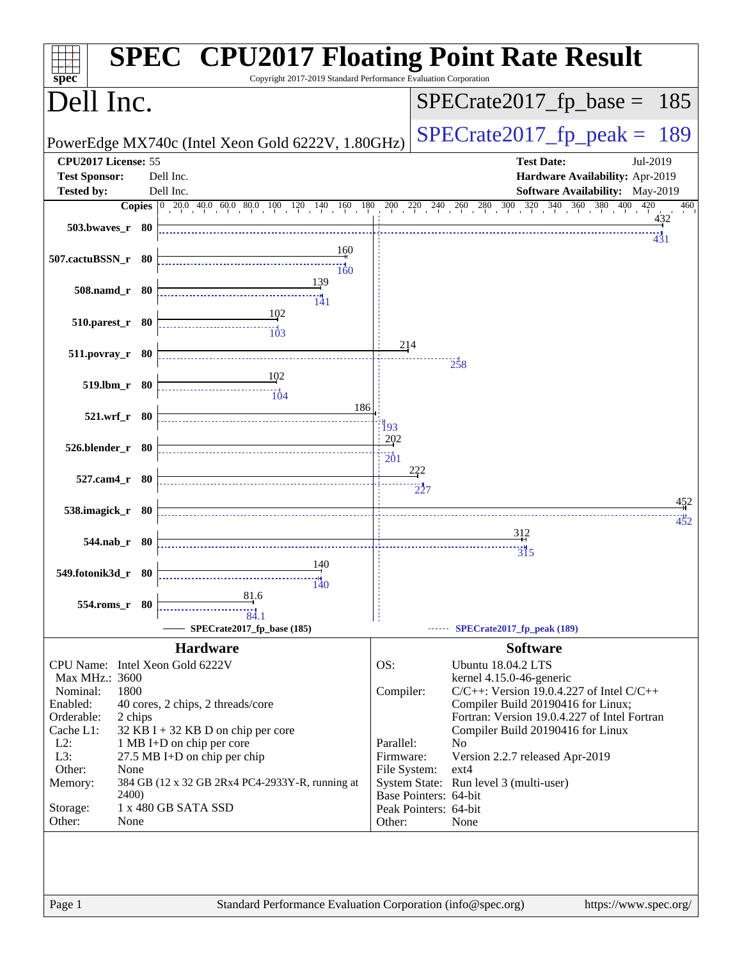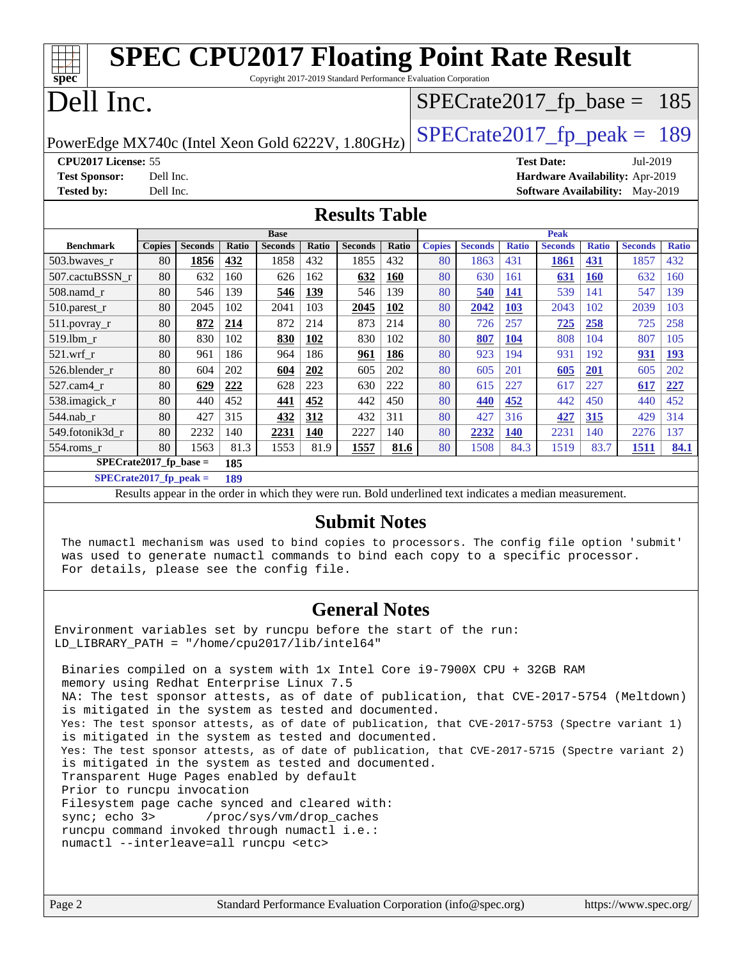| <b>SPEC CPU2017 Floating Point Rate Result</b><br>Copyright 2017-2019 Standard Performance Evaluation Corporation<br>spec |               |                |       |                |       |                |            |               |                |              |                   |              |                                        |              |
|---------------------------------------------------------------------------------------------------------------------------|---------------|----------------|-------|----------------|-------|----------------|------------|---------------|----------------|--------------|-------------------|--------------|----------------------------------------|--------------|
| Dell Inc.<br>$SPECrate2017_fp\_base = 185$                                                                                |               |                |       |                |       |                |            |               |                |              |                   |              |                                        |              |
| $SPECTate2017$ _fp_peak = 189<br>PowerEdge MX740c (Intel Xeon Gold 6222V, 1.80GHz)                                        |               |                |       |                |       |                |            |               |                |              |                   |              |                                        |              |
| CPU2017 License: 55                                                                                                       |               |                |       |                |       |                |            |               |                |              | <b>Test Date:</b> |              | Jul-2019                               |              |
| <b>Test Sponsor:</b>                                                                                                      | Dell Inc.     |                |       |                |       |                |            |               |                |              |                   |              | Hardware Availability: Apr-2019        |              |
| <b>Tested by:</b>                                                                                                         | Dell Inc.     |                |       |                |       |                |            |               |                |              |                   |              | <b>Software Availability:</b> May-2019 |              |
| <b>Results Table</b>                                                                                                      |               |                |       |                |       |                |            |               |                |              |                   |              |                                        |              |
|                                                                                                                           |               |                |       | <b>Base</b>    |       |                |            |               |                |              | <b>Peak</b>       |              |                                        |              |
| <b>Benchmark</b>                                                                                                          | <b>Copies</b> | <b>Seconds</b> | Ratio | <b>Seconds</b> | Ratio | <b>Seconds</b> | Ratio      | <b>Copies</b> | <b>Seconds</b> | <b>Ratio</b> | <b>Seconds</b>    | <b>Ratio</b> | <b>Seconds</b>                         | <b>Ratio</b> |
| 503.bwaves r                                                                                                              | 80            | 1856           | 432   | 1858           | 432   | 1855           | 432        | 80            | 1863           | 431          | <b>1861</b>       | 431          | 1857                                   | 432          |
| 507.cactuBSSN r                                                                                                           | 80            | 632            | 160   | 626            | 162   | 632            | <b>160</b> | 80            | 630            | 161          | 631               | <b>160</b>   | 632                                    | 160          |
| 508.namd r                                                                                                                | 80            | 546            | 139   | 546            | 139   | 546            | 139        | 80            | 540            | 141          | 539               | 141          | 547                                    | 139          |
| 510.parest_r                                                                                                              | 80            | 2045           | 102   | 2041           | 103   | 2045           | 102        | 80            | 2042           | 103          | 2043              | 102          | 2039                                   | 103          |
| 511.povray_r                                                                                                              | 80            | 872            | 214   | 872            | 214   | 873            | 214        | 80            | 726            | 257          | 725               | 258          | 725                                    | 258          |
| 519.1bm r                                                                                                                 | 80            | 830            | 102   | 830            | 102   | 830            | 102        | 80            | 807            | 104          | 808               | 104          | 807                                    | 105          |
| $521$ .wrf r                                                                                                              | 80            | 961            | 186   | 964            | 186   | 961            | 186        | 80            | 923            | 194          | 931               | 192          | 931                                    | 193          |
| 526.blender r                                                                                                             | 80            | 604            | 202   | 604            | 202   | 605            | 202        | 80            | 605            | 201          | 605               | 201          | 605                                    | 202          |
| 527.cam4_r                                                                                                                | 80            | 629            | 222   | 628            | 223   | 630            | 222        | 80            | 615            | 227          | 617               | 227          | 617                                    | 227          |
| 538.imagick_r                                                                                                             | 80            | 440            | 452   | 441            | 452   | 442            | 450        | 80            | 440            | 452          | 442               | 450          | 440                                    | 452          |
| 544.nab r                                                                                                                 | 80            | 427            | 315   | 432            | 312   | 432            | 311        | 80            | 427            | 316          | 427               | 315          | 429                                    | 314          |
| 549.fotonik3d r                                                                                                           | 80            | 2232           | 140   | 2231           | 140   | 2227           | 140        | 80            | 2232           | 140          | 2231              | 140          | 2276                                   | 137          |
| 554.roms_r                                                                                                                | 80            | 1563           | 81.3  | 1553           | 81.9  | 1557           | 81.6       | 80            | 1508           | 84.3         | 1519              | 83.7         | 1511                                   | 84.1         |
| $SPECrate2017_fp\_base =$                                                                                                 |               |                | 185   |                |       |                |            |               |                |              |                   |              |                                        |              |
| $SPECrate2017_fp\_peak =$                                                                                                 |               |                | 189   |                |       |                |            |               |                |              |                   |              |                                        |              |

Results appear in the [order in which they were run.](http://www.spec.org/auto/cpu2017/Docs/result-fields.html#RunOrder) Bold underlined text [indicates a median measurement.](http://www.spec.org/auto/cpu2017/Docs/result-fields.html#Median)

#### **[Submit Notes](http://www.spec.org/auto/cpu2017/Docs/result-fields.html#SubmitNotes)**

 The numactl mechanism was used to bind copies to processors. The config file option 'submit' was used to generate numactl commands to bind each copy to a specific processor. For details, please see the config file.

### **[General Notes](http://www.spec.org/auto/cpu2017/Docs/result-fields.html#GeneralNotes)**

Environment variables set by runcpu before the start of the run: LD LIBRARY PATH = "/home/cpu2017/lib/intel64"

 Binaries compiled on a system with 1x Intel Core i9-7900X CPU + 32GB RAM memory using Redhat Enterprise Linux 7.5 NA: The test sponsor attests, as of date of publication, that CVE-2017-5754 (Meltdown) is mitigated in the system as tested and documented. Yes: The test sponsor attests, as of date of publication, that CVE-2017-5753 (Spectre variant 1) is mitigated in the system as tested and documented. Yes: The test sponsor attests, as of date of publication, that CVE-2017-5715 (Spectre variant 2) is mitigated in the system as tested and documented. Transparent Huge Pages enabled by default Prior to runcpu invocation Filesystem page cache synced and cleared with: sync; echo 3> /proc/sys/vm/drop\_caches runcpu command invoked through numactl i.e.: numactl --interleave=all runcpu <etc>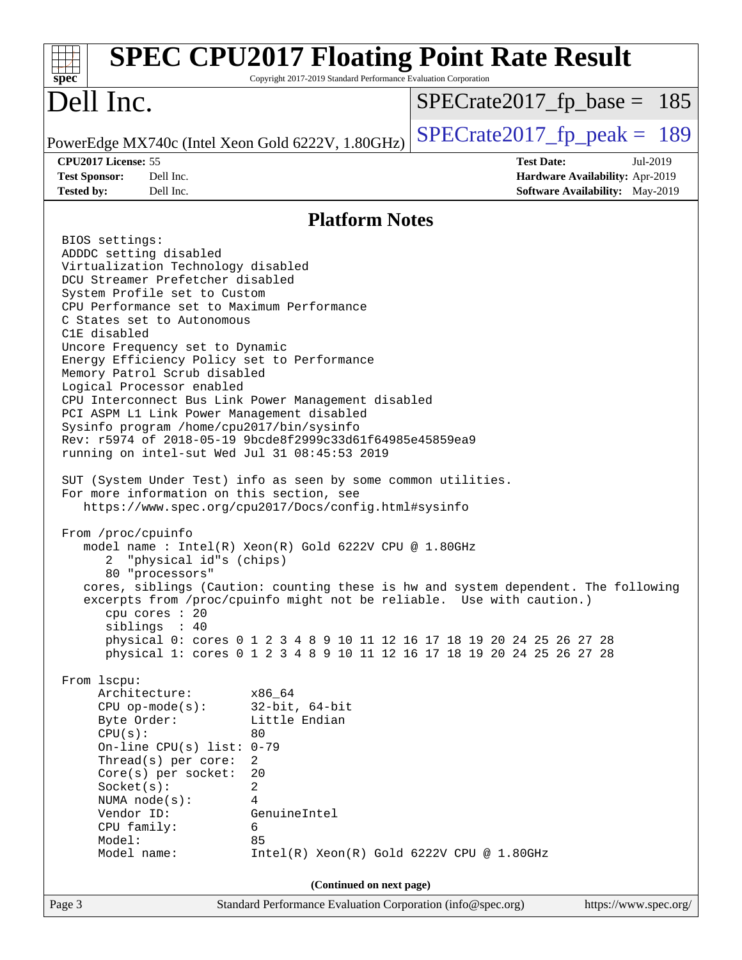| spec <sup>®</sup>                                                                                                                                                                                                                                            | <b>SPEC CPU2017 Floating Point Rate Result</b><br>Copyright 2017-2019 Standard Performance Evaluation Corporation                                |                               |                                                                                       |
|--------------------------------------------------------------------------------------------------------------------------------------------------------------------------------------------------------------------------------------------------------------|--------------------------------------------------------------------------------------------------------------------------------------------------|-------------------------------|---------------------------------------------------------------------------------------|
| Dell Inc.                                                                                                                                                                                                                                                    |                                                                                                                                                  | $SPECrate2017_fp\_base = 185$ |                                                                                       |
| PowerEdge MX740c (Intel Xeon Gold 6222V, 1.80GHz)                                                                                                                                                                                                            |                                                                                                                                                  | $SPECTate2017fr peak = 189$   |                                                                                       |
| CPU2017 License: 55<br><b>Test Sponsor:</b><br>Dell Inc.<br>Dell Inc.<br><b>Tested by:</b>                                                                                                                                                                   |                                                                                                                                                  | <b>Test Date:</b>             | Jul-2019<br>Hardware Availability: Apr-2019<br><b>Software Availability:</b> May-2019 |
|                                                                                                                                                                                                                                                              | <b>Platform Notes</b>                                                                                                                            |                               |                                                                                       |
| BIOS settings:                                                                                                                                                                                                                                               |                                                                                                                                                  |                               |                                                                                       |
| ADDDC setting disabled<br>Virtualization Technology disabled<br>DCU Streamer Prefetcher disabled<br>System Profile set to Custom<br>CPU Performance set to Maximum Performance<br>C States set to Autonomous                                                 |                                                                                                                                                  |                               |                                                                                       |
| C1E disabled<br>Uncore Frequency set to Dynamic<br>Energy Efficiency Policy set to Performance<br>Memory Patrol Scrub disabled<br>Logical Processor enabled                                                                                                  |                                                                                                                                                  |                               |                                                                                       |
| CPU Interconnect Bus Link Power Management disabled<br>PCI ASPM L1 Link Power Management disabled<br>Sysinfo program /home/cpu2017/bin/sysinfo<br>Rev: r5974 of 2018-05-19 9bcde8f2999c33d61f64985e45859ea9<br>running on intel-sut Wed Jul 31 08:45:53 2019 |                                                                                                                                                  |                               |                                                                                       |
| SUT (System Under Test) info as seen by some common utilities.<br>For more information on this section, see<br>https://www.spec.org/cpu2017/Docs/config.html#sysinfo                                                                                         |                                                                                                                                                  |                               |                                                                                       |
| From /proc/cpuinfo<br>model name: $Intel(R)$ Xeon $(R)$ Gold 6222V CPU @ 1.80GHz<br>"physical id"s (chips)<br>2<br>80 "processors"                                                                                                                           |                                                                                                                                                  |                               |                                                                                       |
| cores, siblings (Caution: counting these is hw and system dependent. The following<br>excerpts from /proc/cpuinfo might not be reliable. Use with caution.)<br>cpu cores : 20<br>siblings : 40                                                               |                                                                                                                                                  |                               |                                                                                       |
|                                                                                                                                                                                                                                                              | physical 0: cores 0 1 2 3 4 8 9 10 11 12 16 17 18 19 20 24 25 26 27 28<br>physical 1: cores 0 1 2 3 4 8 9 10 11 12 16 17 18 19 20 24 25 26 27 28 |                               |                                                                                       |
| From lscpu:<br>Architecture:<br>$CPU$ op-mode(s):                                                                                                                                                                                                            | x86_64<br>$32$ -bit, $64$ -bit<br>Little Endian                                                                                                  |                               |                                                                                       |
| Byte Order:<br>CPU(s):<br>On-line CPU(s) list: $0-79$<br>Thread(s) per core:                                                                                                                                                                                 | 80<br>2                                                                                                                                          |                               |                                                                                       |
| $Core(s)$ per socket:<br>Socket(s):<br>NUMA $node(s):$                                                                                                                                                                                                       | 20<br>2<br>4                                                                                                                                     |                               |                                                                                       |
| Vendor ID:<br>CPU family:<br>Model:                                                                                                                                                                                                                          | GenuineIntel<br>6<br>85                                                                                                                          |                               |                                                                                       |
| Model name:                                                                                                                                                                                                                                                  | $Intel(R) Xeon(R) Gold 6222V CPU @ 1.80GHz$                                                                                                      |                               |                                                                                       |
| Page 3                                                                                                                                                                                                                                                       | (Continued on next page)<br>Standard Performance Evaluation Corporation (info@spec.org)                                                          |                               | https://www.spec.org/                                                                 |
|                                                                                                                                                                                                                                                              |                                                                                                                                                  |                               |                                                                                       |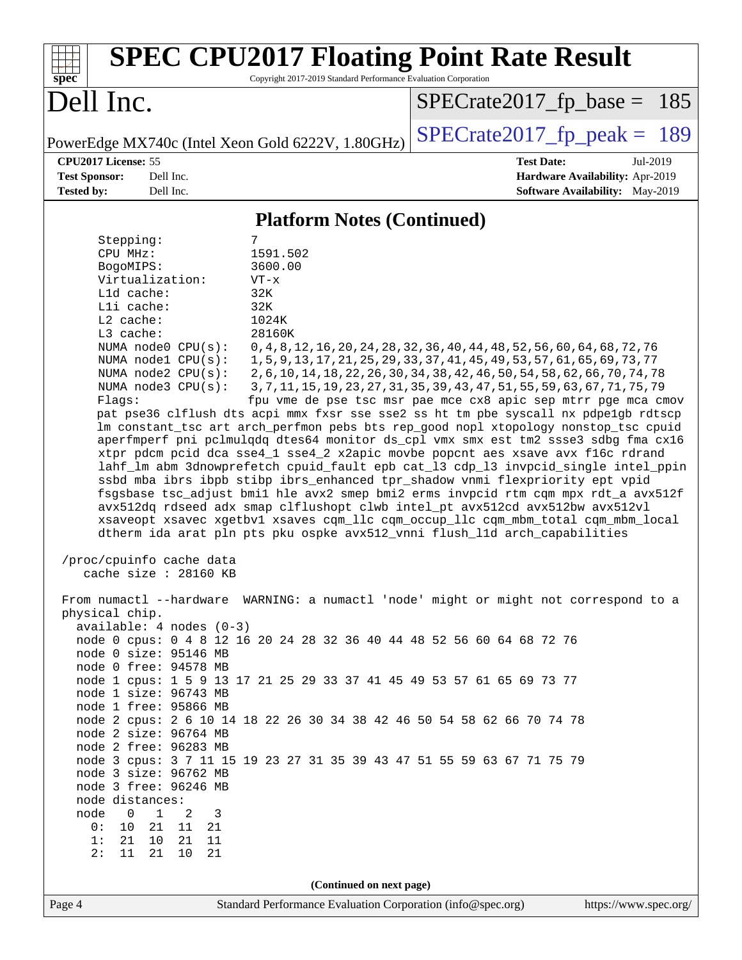| <b>SPEC CPU2017 Floating Point Rate Result</b><br>Copyright 2017-2019 Standard Performance Evaluation Corporation<br>spec <sup>®</sup>                                                                                                                                                                                                                                                                                                                                                                                                                                                                                                                                                                                                                                                                                                                                                                                                                                                                                                                                                                                                                                                                                                                                                                                                                                                                                                                                                                                                                                                                                                                                                                                                                                                                                                                                                                                                                                                                                                                    |                                                                                                                                                                                                                                                                                                                                                                                             |
|-----------------------------------------------------------------------------------------------------------------------------------------------------------------------------------------------------------------------------------------------------------------------------------------------------------------------------------------------------------------------------------------------------------------------------------------------------------------------------------------------------------------------------------------------------------------------------------------------------------------------------------------------------------------------------------------------------------------------------------------------------------------------------------------------------------------------------------------------------------------------------------------------------------------------------------------------------------------------------------------------------------------------------------------------------------------------------------------------------------------------------------------------------------------------------------------------------------------------------------------------------------------------------------------------------------------------------------------------------------------------------------------------------------------------------------------------------------------------------------------------------------------------------------------------------------------------------------------------------------------------------------------------------------------------------------------------------------------------------------------------------------------------------------------------------------------------------------------------------------------------------------------------------------------------------------------------------------------------------------------------------------------------------------------------------------|---------------------------------------------------------------------------------------------------------------------------------------------------------------------------------------------------------------------------------------------------------------------------------------------------------------------------------------------------------------------------------------------|
| Dell Inc.                                                                                                                                                                                                                                                                                                                                                                                                                                                                                                                                                                                                                                                                                                                                                                                                                                                                                                                                                                                                                                                                                                                                                                                                                                                                                                                                                                                                                                                                                                                                                                                                                                                                                                                                                                                                                                                                                                                                                                                                                                                 | $SPECrate2017_fp\_base = 185$                                                                                                                                                                                                                                                                                                                                                               |
| PowerEdge MX740c (Intel Xeon Gold 6222V, 1.80GHz)                                                                                                                                                                                                                                                                                                                                                                                                                                                                                                                                                                                                                                                                                                                                                                                                                                                                                                                                                                                                                                                                                                                                                                                                                                                                                                                                                                                                                                                                                                                                                                                                                                                                                                                                                                                                                                                                                                                                                                                                         | $SPECrate2017_fp\_peak = 189$                                                                                                                                                                                                                                                                                                                                                               |
| CPU2017 License: 55<br><b>Test Sponsor:</b><br>Dell Inc.<br><b>Tested by:</b><br>Dell Inc.                                                                                                                                                                                                                                                                                                                                                                                                                                                                                                                                                                                                                                                                                                                                                                                                                                                                                                                                                                                                                                                                                                                                                                                                                                                                                                                                                                                                                                                                                                                                                                                                                                                                                                                                                                                                                                                                                                                                                                | <b>Test Date:</b><br>Jul-2019<br>Hardware Availability: Apr-2019<br>Software Availability: May-2019                                                                                                                                                                                                                                                                                         |
| <b>Platform Notes (Continued)</b>                                                                                                                                                                                                                                                                                                                                                                                                                                                                                                                                                                                                                                                                                                                                                                                                                                                                                                                                                                                                                                                                                                                                                                                                                                                                                                                                                                                                                                                                                                                                                                                                                                                                                                                                                                                                                                                                                                                                                                                                                         |                                                                                                                                                                                                                                                                                                                                                                                             |
| Stepping:<br>7<br>CPU MHz:<br>1591.502<br>3600.00<br>BogoMIPS:<br>Virtualization:<br>$VT - x$<br>$L1d$ cache:<br>32K<br>Lli cache:<br>32K<br>L2 cache:<br>1024K<br>L3 cache:<br>28160K<br>NUMA node0 CPU(s):<br>NUMA nodel CPU(s):<br>NUMA node2 CPU(s):<br>NUMA $node3$ $CPU(s)$ :<br>Flags:<br>pat pse36 clflush dts acpi mmx fxsr sse sse2 ss ht tm pbe syscall nx pdpelgb rdtscp<br>lm constant_tsc art arch_perfmon pebs bts rep_good nopl xtopology nonstop_tsc cpuid<br>aperfmperf pni pclmulqdq dtes64 monitor ds_cpl vmx smx est tm2 ssse3 sdbg fma cx16<br>xtpr pdcm pcid dca sse4_1 sse4_2 x2apic movbe popcnt aes xsave avx f16c rdrand<br>lahf_lm abm 3dnowprefetch cpuid_fault epb cat_13 cdp_13 invpcid_single intel_ppin<br>ssbd mba ibrs ibpb stibp ibrs_enhanced tpr_shadow vnmi flexpriority ept vpid<br>fsgsbase tsc_adjust bmil hle avx2 smep bmi2 erms invpcid rtm cqm mpx rdt_a avx512f<br>avx512dq rdseed adx smap clflushopt clwb intel_pt avx512cd avx512bw avx512vl<br>xsaveopt xsavec xgetbvl xsaves cqm_llc cqm_occup_llc cqm_mbm_total cqm_mbm_local<br>dtherm ida arat pln pts pku ospke avx512_vnni flush_lld arch_capabilities<br>/proc/cpuinfo cache data<br>cache size : 28160 KB<br>From numactl --hardware WARNING: a numactl 'node' might or might not correspond to a<br>physical chip.<br>$available: 4 nodes (0-3)$<br>node 0 cpus: 0 4 8 12 16 20 24 28 32 36 40 44 48 52 56 60 64 68 72 76<br>node 0 size: 95146 MB<br>node 0 free: 94578 MB<br>node 1 cpus: 1 5 9 13 17 21 25 29 33 37 41 45 49 53 57 61 65 69 73 77<br>node 1 size: 96743 MB<br>node 1 free: 95866 MB<br>node 2 cpus: 2 6 10 14 18 22 26 30 34 38 42 46 50 54 58 62 66 70 74 78<br>node 2 size: 96764 MB<br>node 2 free: 96283 MB<br>node 3 cpus: 3 7 11 15 19 23 27 31 35 39 43 47 51 55 59 63 67 71 75 79<br>node 3 size: 96762 MB<br>node 3 free: 96246 MB<br>node distances:<br>node<br>$\mathsf{O}$<br>$\mathbf{1}$<br>3<br>2<br>21<br>11<br>0 :<br>10<br>- 21<br>21<br>1:<br>21<br>10 <sub>1</sub><br>11<br>2:<br>11<br>21<br>10<br>21 | 0, 4, 8, 12, 16, 20, 24, 28, 32, 36, 40, 44, 48, 52, 56, 60, 64, 68, 72, 76<br>1, 5, 9, 13, 17, 21, 25, 29, 33, 37, 41, 45, 49, 53, 57, 61, 65, 69, 73, 77<br>2, 6, 10, 14, 18, 22, 26, 30, 34, 38, 42, 46, 50, 54, 58, 62, 66, 70, 74, 78<br>3, 7, 11, 15, 19, 23, 27, 31, 35, 39, 43, 47, 51, 55, 59, 63, 67, 71, 75, 79<br>fpu vme de pse tsc msr pae mce cx8 apic sep mtrr pge mca cmov |
| (Continued on next page)<br>Standard Performance Evaluation Corporation (info@spec.org)<br>Page 4                                                                                                                                                                                                                                                                                                                                                                                                                                                                                                                                                                                                                                                                                                                                                                                                                                                                                                                                                                                                                                                                                                                                                                                                                                                                                                                                                                                                                                                                                                                                                                                                                                                                                                                                                                                                                                                                                                                                                         | https://www.spec.org/                                                                                                                                                                                                                                                                                                                                                                       |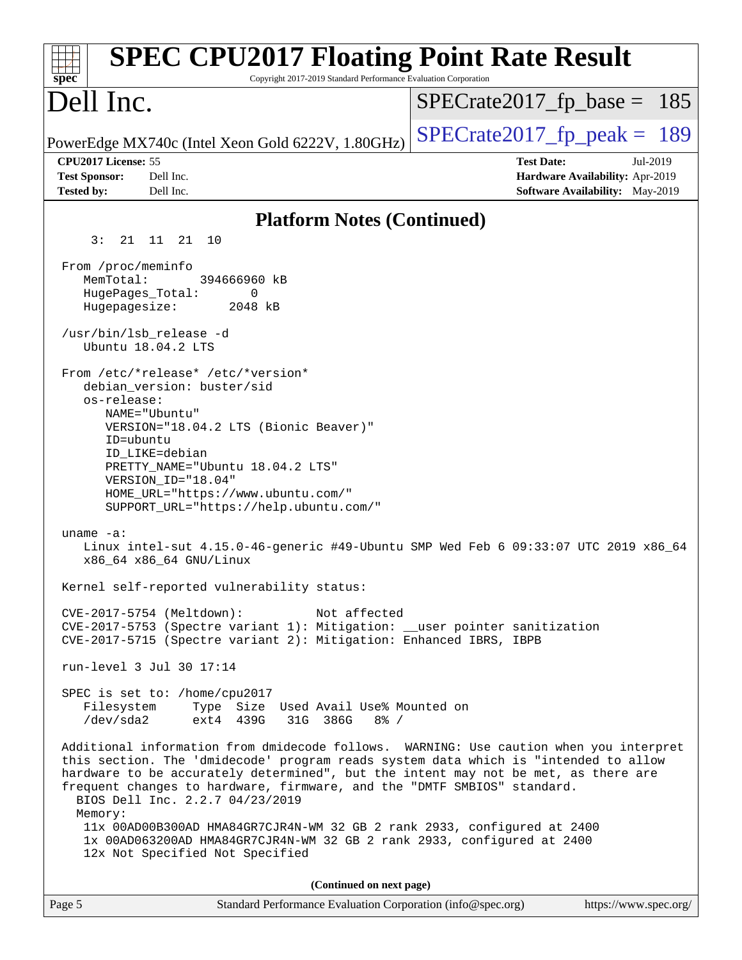| <b>SPEC CPU2017 Floating Point Rate Result</b><br>Copyright 2017-2019 Standard Performance Evaluation Corporation<br>$spec^*$                                                                                                                                                                                                                                                                                                                                                                                                                                                        |                                                                                                     |
|--------------------------------------------------------------------------------------------------------------------------------------------------------------------------------------------------------------------------------------------------------------------------------------------------------------------------------------------------------------------------------------------------------------------------------------------------------------------------------------------------------------------------------------------------------------------------------------|-----------------------------------------------------------------------------------------------------|
| Dell Inc.                                                                                                                                                                                                                                                                                                                                                                                                                                                                                                                                                                            | $SPECrate2017_fp\_base = 185$                                                                       |
| PowerEdge MX740c (Intel Xeon Gold 6222V, 1.80GHz)                                                                                                                                                                                                                                                                                                                                                                                                                                                                                                                                    | $SPECrate2017fp peak = 189$                                                                         |
| CPU2017 License: 55<br><b>Test Sponsor:</b><br>Dell Inc.<br><b>Tested by:</b><br>Dell Inc.                                                                                                                                                                                                                                                                                                                                                                                                                                                                                           | <b>Test Date:</b><br>Jul-2019<br>Hardware Availability: Apr-2019<br>Software Availability: May-2019 |
| <b>Platform Notes (Continued)</b>                                                                                                                                                                                                                                                                                                                                                                                                                                                                                                                                                    |                                                                                                     |
| 3:<br>21 11 21 10                                                                                                                                                                                                                                                                                                                                                                                                                                                                                                                                                                    |                                                                                                     |
| From /proc/meminfo<br>MemTotal:<br>394666960 kB<br>HugePages_Total:<br>0<br>Hugepagesize:<br>2048 kB                                                                                                                                                                                                                                                                                                                                                                                                                                                                                 |                                                                                                     |
| /usr/bin/lsb_release -d<br>Ubuntu 18.04.2 LTS                                                                                                                                                                                                                                                                                                                                                                                                                                                                                                                                        |                                                                                                     |
| From /etc/*release* /etc/*version*<br>debian version: buster/sid<br>os-release:<br>NAME="Ubuntu"<br>VERSION="18.04.2 LTS (Bionic Beaver)"<br>ID=ubuntu<br>ID LIKE=debian<br>PRETTY_NAME="Ubuntu 18.04.2 LTS"<br>VERSION_ID="18.04"<br>HOME_URL="https://www.ubuntu.com/"<br>SUPPORT_URL="https://help.ubuntu.com/"                                                                                                                                                                                                                                                                   |                                                                                                     |
| uname $-a$ :<br>Linux intel-sut 4.15.0-46-generic #49-Ubuntu SMP Wed Feb 6 09:33:07 UTC 2019 x86_64<br>x86_64 x86_64 GNU/Linux                                                                                                                                                                                                                                                                                                                                                                                                                                                       |                                                                                                     |
| Kernel self-reported vulnerability status:                                                                                                                                                                                                                                                                                                                                                                                                                                                                                                                                           |                                                                                                     |
| Not affected<br>CVE-2017-5754 (Meltdown):<br>CVE-2017-5753 (Spectre variant 1): Mitigation: __user pointer sanitization<br>CVE-2017-5715 (Spectre variant 2): Mitigation: Enhanced IBRS, IBPB                                                                                                                                                                                                                                                                                                                                                                                        |                                                                                                     |
| run-level 3 Jul 30 17:14                                                                                                                                                                                                                                                                                                                                                                                                                                                                                                                                                             |                                                                                                     |
| SPEC is set to: /home/cpu2017<br>Type Size Used Avail Use% Mounted on<br>Filesystem<br>/dev/sda2<br>ext4 439G 31G 386G<br>$8\frac{6}{6}$ /                                                                                                                                                                                                                                                                                                                                                                                                                                           |                                                                                                     |
| Additional information from dmidecode follows. WARNING: Use caution when you interpret<br>this section. The 'dmidecode' program reads system data which is "intended to allow<br>hardware to be accurately determined", but the intent may not be met, as there are<br>frequent changes to hardware, firmware, and the "DMTF SMBIOS" standard.<br>BIOS Dell Inc. 2.2.7 04/23/2019<br>Memory:<br>11x 00AD00B300AD HMA84GR7CJR4N-WM 32 GB 2 rank 2933, configured at 2400<br>1x 00AD063200AD HMA84GR7CJR4N-WM 32 GB 2 rank 2933, configured at 2400<br>12x Not Specified Not Specified |                                                                                                     |
| (Continued on next page)                                                                                                                                                                                                                                                                                                                                                                                                                                                                                                                                                             |                                                                                                     |
| Page 5<br>Standard Performance Evaluation Corporation (info@spec.org)                                                                                                                                                                                                                                                                                                                                                                                                                                                                                                                | https://www.spec.org/                                                                               |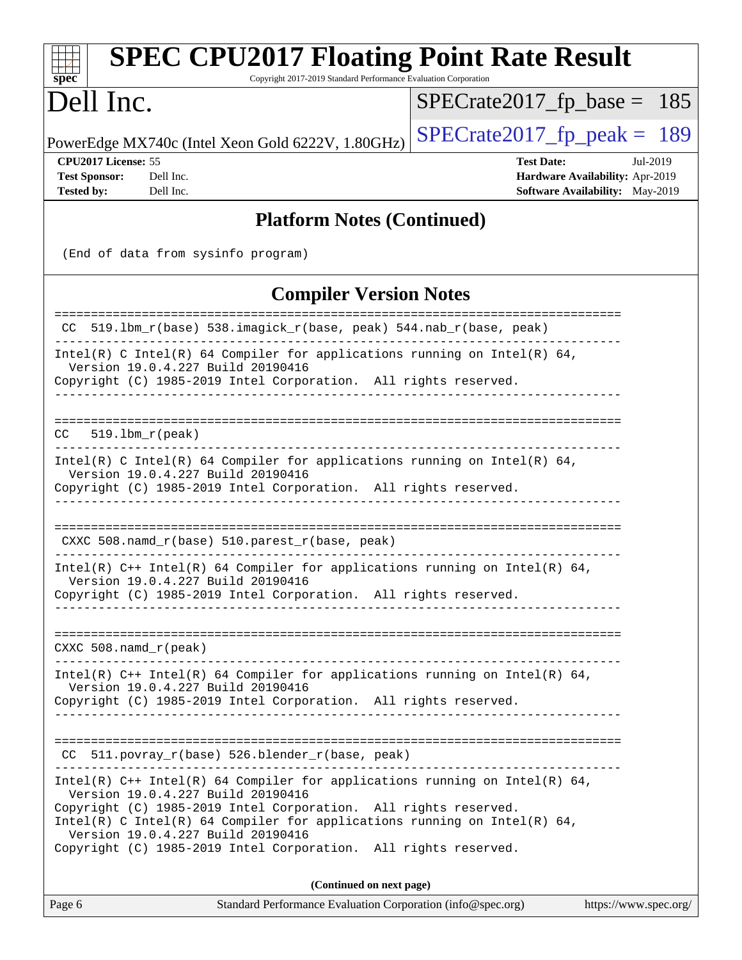| <b>SPEC CPU2017 Floating Point Rate Result</b><br>Copyright 2017-2019 Standard Performance Evaluation Corporation<br>$spec^*$                                                                                                                                                                                                                                            |                                                                                                            |
|--------------------------------------------------------------------------------------------------------------------------------------------------------------------------------------------------------------------------------------------------------------------------------------------------------------------------------------------------------------------------|------------------------------------------------------------------------------------------------------------|
| Dell Inc.                                                                                                                                                                                                                                                                                                                                                                | $SPECrate2017_fp\_base = 185$                                                                              |
| PowerEdge MX740c (Intel Xeon Gold 6222V, 1.80GHz)                                                                                                                                                                                                                                                                                                                        | $SPECTate2017$ _fp_peak = 189                                                                              |
| CPU2017 License: 55<br><b>Test Sponsor:</b><br>Dell Inc.<br><b>Tested by:</b><br>Dell Inc.                                                                                                                                                                                                                                                                               | <b>Test Date:</b><br>Jul-2019<br>Hardware Availability: Apr-2019<br><b>Software Availability:</b> May-2019 |
| <b>Platform Notes (Continued)</b>                                                                                                                                                                                                                                                                                                                                        |                                                                                                            |
| (End of data from sysinfo program)                                                                                                                                                                                                                                                                                                                                       |                                                                                                            |
| <b>Compiler Version Notes</b>                                                                                                                                                                                                                                                                                                                                            |                                                                                                            |
| ================<br>CC 519.1bm_r(base) 538.imagick_r(base, peak) 544.nab_r(base, peak)                                                                                                                                                                                                                                                                                   | ===============================                                                                            |
| Intel(R) C Intel(R) 64 Compiler for applications running on Intel(R) 64,<br>Version 19.0.4.227 Build 20190416<br>Copyright (C) 1985-2019 Intel Corporation. All rights reserved.                                                                                                                                                                                         |                                                                                                            |
| CC.<br>$519.1bm_r(peak)$                                                                                                                                                                                                                                                                                                                                                 |                                                                                                            |
| Intel(R) C Intel(R) 64 Compiler for applications running on Intel(R) 64,<br>Version 19.0.4.227 Build 20190416<br>Copyright (C) 1985-2019 Intel Corporation. All rights reserved.                                                                                                                                                                                         |                                                                                                            |
| $CXXC 508.namd_r(base) 510.parest_r(base, peak)$                                                                                                                                                                                                                                                                                                                         |                                                                                                            |
| Intel(R) $C++$ Intel(R) 64 Compiler for applications running on Intel(R) 64,<br>Version 19.0.4.227 Build 20190416<br>Copyright (C) 1985-2019 Intel Corporation. All rights reserved.                                                                                                                                                                                     |                                                                                                            |
| $CXXC 508.namd_r (peak)$                                                                                                                                                                                                                                                                                                                                                 |                                                                                                            |
| Intel(R) $C++$ Intel(R) 64 Compiler for applications running on Intel(R) 64,<br>Version 19.0.4.227 Build 20190416<br>Copyright (C) 1985-2019 Intel Corporation. All rights reserved.                                                                                                                                                                                     |                                                                                                            |
| CC 511.povray_r(base) 526.blender_r(base, peak)                                                                                                                                                                                                                                                                                                                          |                                                                                                            |
| Intel(R) $C++$ Intel(R) 64 Compiler for applications running on Intel(R) 64,<br>Version 19.0.4.227 Build 20190416<br>Copyright (C) 1985-2019 Intel Corporation. All rights reserved.<br>Intel(R) C Intel(R) 64 Compiler for applications running on Intel(R) 64,<br>Version 19.0.4.227 Build 20190416<br>Copyright (C) 1985-2019 Intel Corporation. All rights reserved. |                                                                                                            |
| (Continued on next page)                                                                                                                                                                                                                                                                                                                                                 |                                                                                                            |
| Page 6<br>Standard Performance Evaluation Corporation (info@spec.org)                                                                                                                                                                                                                                                                                                    | https://www.spec.org/                                                                                      |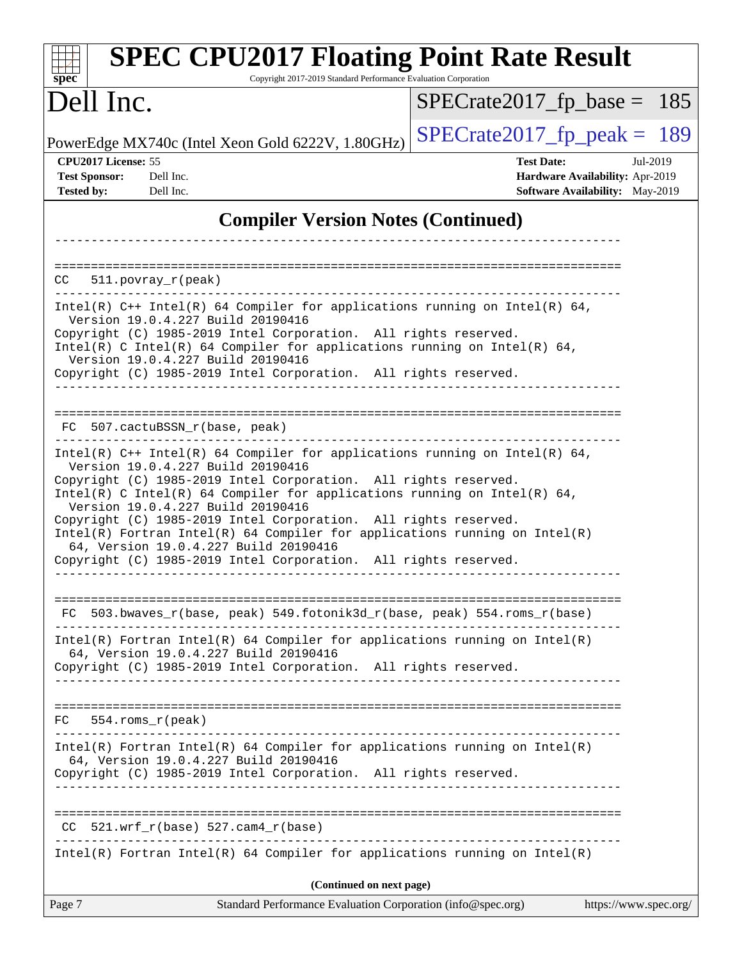| <b>SPEC CPU2017 Floating Point Rate Result</b><br>Copyright 2017-2019 Standard Performance Evaluation Corporation<br>$spec^*$                                                                                                                                                                                                                                                                                                                                                                                                                                          |                                                                                                     |
|------------------------------------------------------------------------------------------------------------------------------------------------------------------------------------------------------------------------------------------------------------------------------------------------------------------------------------------------------------------------------------------------------------------------------------------------------------------------------------------------------------------------------------------------------------------------|-----------------------------------------------------------------------------------------------------|
| Dell Inc.                                                                                                                                                                                                                                                                                                                                                                                                                                                                                                                                                              | $SPECrate2017_fp\_base = 185$                                                                       |
| PowerEdge MX740c (Intel Xeon Gold 6222V, 1.80GHz)                                                                                                                                                                                                                                                                                                                                                                                                                                                                                                                      | $SPECrate2017_fp\_peak = 189$                                                                       |
| CPU2017 License: 55<br><b>Test Sponsor:</b><br>Dell Inc.<br><b>Tested by:</b><br>Dell Inc.                                                                                                                                                                                                                                                                                                                                                                                                                                                                             | <b>Test Date:</b><br>Jul-2019<br>Hardware Availability: Apr-2019<br>Software Availability: May-2019 |
| <b>Compiler Version Notes (Continued)</b>                                                                                                                                                                                                                                                                                                                                                                                                                                                                                                                              |                                                                                                     |
| $511. povray_r (peak)$<br>CC.                                                                                                                                                                                                                                                                                                                                                                                                                                                                                                                                          |                                                                                                     |
| Intel(R) $C++$ Intel(R) 64 Compiler for applications running on Intel(R) 64,<br>Version 19.0.4.227 Build 20190416<br>Copyright (C) 1985-2019 Intel Corporation. All rights reserved.<br>$Intel(R)$ C Intel(R) 64 Compiler for applications running on Intel(R) 64,<br>Version 19.0.4.227 Build 20190416<br>Copyright (C) 1985-2019 Intel Corporation. All rights reserved.                                                                                                                                                                                             |                                                                                                     |
| FC 507.cactuBSSN_r(base, peak)                                                                                                                                                                                                                                                                                                                                                                                                                                                                                                                                         |                                                                                                     |
| Intel(R) $C++$ Intel(R) 64 Compiler for applications running on Intel(R) 64,<br>Version 19.0.4.227 Build 20190416<br>Copyright (C) 1985-2019 Intel Corporation. All rights reserved.<br>$Intel(R)$ C Intel(R) 64 Compiler for applications running on Intel(R) 64,<br>Version 19.0.4.227 Build 20190416<br>Copyright (C) 1985-2019 Intel Corporation. All rights reserved.<br>$Intel(R)$ Fortran Intel(R) 64 Compiler for applications running on Intel(R)<br>64, Version 19.0.4.227 Build 20190416<br>Copyright (C) 1985-2019 Intel Corporation. All rights reserved. |                                                                                                     |
| 503.bwaves_r(base, peak) 549.fotonik3d_r(base, peak) 554.roms_r(base)<br>FC                                                                                                                                                                                                                                                                                                                                                                                                                                                                                            |                                                                                                     |
| $Intel(R)$ Fortran Intel(R) 64 Compiler for applications running on Intel(R)<br>64, Version 19.0.4.227 Build 20190416<br>Copyright (C) 1985-2019 Intel Corporation. All rights reserved.                                                                                                                                                                                                                                                                                                                                                                               |                                                                                                     |
| FC.<br>$554.rows_r (peak)$                                                                                                                                                                                                                                                                                                                                                                                                                                                                                                                                             |                                                                                                     |
| $Intel(R)$ Fortran Intel(R) 64 Compiler for applications running on Intel(R)<br>64, Version 19.0.4.227 Build 20190416<br>Copyright (C) 1985-2019 Intel Corporation. All rights reserved.                                                                                                                                                                                                                                                                                                                                                                               |                                                                                                     |
| $CC$ 521.wrf_r(base) 527.cam4_r(base)                                                                                                                                                                                                                                                                                                                                                                                                                                                                                                                                  |                                                                                                     |
| $Intel(R)$ Fortran Intel(R) 64 Compiler for applications running on Intel(R)                                                                                                                                                                                                                                                                                                                                                                                                                                                                                           |                                                                                                     |
| (Continued on next page)<br>Standard Performance Evaluation Corporation (info@spec.org)<br>Page 7                                                                                                                                                                                                                                                                                                                                                                                                                                                                      | https://www.spec.org/                                                                               |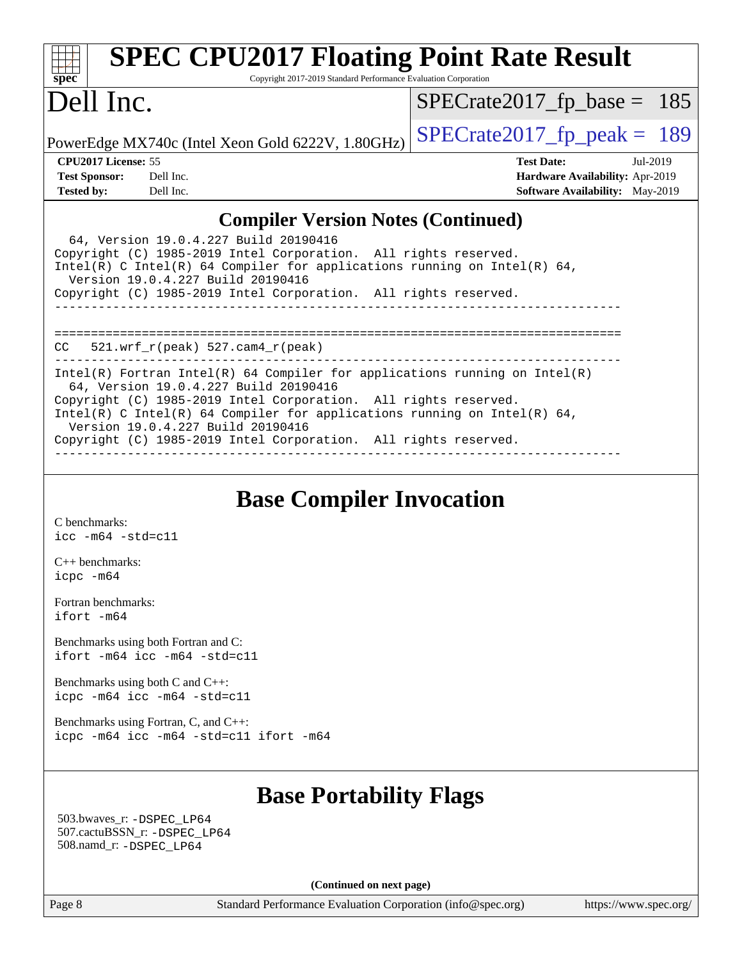| <b>SPEC CPU2017 Floating Point Rate Result</b><br>Copyright 2017-2019 Standard Performance Evaluation Corporation<br>$Spec^*$                                                                                                                                                                           |                                        |
|---------------------------------------------------------------------------------------------------------------------------------------------------------------------------------------------------------------------------------------------------------------------------------------------------------|----------------------------------------|
| Dell Inc.                                                                                                                                                                                                                                                                                               | $SPECrate2017_fp\_base = 185$          |
| PowerEdge MX740c (Intel Xeon Gold 6222V, 1.80GHz)                                                                                                                                                                                                                                                       | $SPECrate2017_fp\_peak = 189$          |
| CPU2017 License: 55                                                                                                                                                                                                                                                                                     | <b>Test Date:</b><br>$Jul-2019$        |
| <b>Test Sponsor:</b><br>Dell Inc.<br>Tested by: Dell Inc.                                                                                                                                                                                                                                               | Hardware Availability: Apr-2019        |
|                                                                                                                                                                                                                                                                                                         | <b>Software Availability:</b> May-2019 |
| <b>Compiler Version Notes (Continued)</b>                                                                                                                                                                                                                                                               |                                        |
| 64, Version 19.0.4.227 Build 20190416<br>Copyright (C) 1985-2019 Intel Corporation. All rights reserved.<br>Intel(R) C Intel(R) 64 Compiler for applications running on Intel(R) 64,<br>Version 19.0.4.227 Build 20190416                                                                               |                                        |
| Copyright (C) 1985-2019 Intel Corporation. All rights reserved.                                                                                                                                                                                                                                         |                                        |
| $CC$ 521.wrf $r(\text{peak})$ 527.cam4 $r(\text{peak})$                                                                                                                                                                                                                                                 |                                        |
| Intel(R) Fortran Intel(R) 64 Compiler for applications running on Intel(R)<br>64. Version 19.0.4.227 Build 20190416<br>Copyright (C) 1985-2019 Intel Corporation. All rights reserved.<br>Intel(R) C Intel(R) 64 Compiler for applications running on Intel(R) 64,<br>Version 19.0.4.227 Build 20190416 |                                        |
| Copyright (C) 1985-2019 Intel Corporation. All rights reserved.                                                                                                                                                                                                                                         |                                        |

## **[Base Compiler Invocation](http://www.spec.org/auto/cpu2017/Docs/result-fields.html#BaseCompilerInvocation)**

[C benchmarks](http://www.spec.org/auto/cpu2017/Docs/result-fields.html#Cbenchmarks): [icc -m64 -std=c11](http://www.spec.org/cpu2017/results/res2019q3/cpu2017-20190805-16548.flags.html#user_CCbase_intel_icc_64bit_c11_33ee0cdaae7deeeab2a9725423ba97205ce30f63b9926c2519791662299b76a0318f32ddfffdc46587804de3178b4f9328c46fa7c2b0cd779d7a61945c91cd35)

[C++ benchmarks:](http://www.spec.org/auto/cpu2017/Docs/result-fields.html#CXXbenchmarks) [icpc -m64](http://www.spec.org/cpu2017/results/res2019q3/cpu2017-20190805-16548.flags.html#user_CXXbase_intel_icpc_64bit_4ecb2543ae3f1412ef961e0650ca070fec7b7afdcd6ed48761b84423119d1bf6bdf5cad15b44d48e7256388bc77273b966e5eb805aefd121eb22e9299b2ec9d9)

[Fortran benchmarks](http://www.spec.org/auto/cpu2017/Docs/result-fields.html#Fortranbenchmarks): [ifort -m64](http://www.spec.org/cpu2017/results/res2019q3/cpu2017-20190805-16548.flags.html#user_FCbase_intel_ifort_64bit_24f2bb282fbaeffd6157abe4f878425411749daecae9a33200eee2bee2fe76f3b89351d69a8130dd5949958ce389cf37ff59a95e7a40d588e8d3a57e0c3fd751)

[Benchmarks using both Fortran and C](http://www.spec.org/auto/cpu2017/Docs/result-fields.html#BenchmarksusingbothFortranandC): [ifort -m64](http://www.spec.org/cpu2017/results/res2019q3/cpu2017-20190805-16548.flags.html#user_CC_FCbase_intel_ifort_64bit_24f2bb282fbaeffd6157abe4f878425411749daecae9a33200eee2bee2fe76f3b89351d69a8130dd5949958ce389cf37ff59a95e7a40d588e8d3a57e0c3fd751) [icc -m64 -std=c11](http://www.spec.org/cpu2017/results/res2019q3/cpu2017-20190805-16548.flags.html#user_CC_FCbase_intel_icc_64bit_c11_33ee0cdaae7deeeab2a9725423ba97205ce30f63b9926c2519791662299b76a0318f32ddfffdc46587804de3178b4f9328c46fa7c2b0cd779d7a61945c91cd35)

[Benchmarks using both C and C++](http://www.spec.org/auto/cpu2017/Docs/result-fields.html#BenchmarksusingbothCandCXX): [icpc -m64](http://www.spec.org/cpu2017/results/res2019q3/cpu2017-20190805-16548.flags.html#user_CC_CXXbase_intel_icpc_64bit_4ecb2543ae3f1412ef961e0650ca070fec7b7afdcd6ed48761b84423119d1bf6bdf5cad15b44d48e7256388bc77273b966e5eb805aefd121eb22e9299b2ec9d9) [icc -m64 -std=c11](http://www.spec.org/cpu2017/results/res2019q3/cpu2017-20190805-16548.flags.html#user_CC_CXXbase_intel_icc_64bit_c11_33ee0cdaae7deeeab2a9725423ba97205ce30f63b9926c2519791662299b76a0318f32ddfffdc46587804de3178b4f9328c46fa7c2b0cd779d7a61945c91cd35)

[Benchmarks using Fortran, C, and C++:](http://www.spec.org/auto/cpu2017/Docs/result-fields.html#BenchmarksusingFortranCandCXX) [icpc -m64](http://www.spec.org/cpu2017/results/res2019q3/cpu2017-20190805-16548.flags.html#user_CC_CXX_FCbase_intel_icpc_64bit_4ecb2543ae3f1412ef961e0650ca070fec7b7afdcd6ed48761b84423119d1bf6bdf5cad15b44d48e7256388bc77273b966e5eb805aefd121eb22e9299b2ec9d9) [icc -m64 -std=c11](http://www.spec.org/cpu2017/results/res2019q3/cpu2017-20190805-16548.flags.html#user_CC_CXX_FCbase_intel_icc_64bit_c11_33ee0cdaae7deeeab2a9725423ba97205ce30f63b9926c2519791662299b76a0318f32ddfffdc46587804de3178b4f9328c46fa7c2b0cd779d7a61945c91cd35) [ifort -m64](http://www.spec.org/cpu2017/results/res2019q3/cpu2017-20190805-16548.flags.html#user_CC_CXX_FCbase_intel_ifort_64bit_24f2bb282fbaeffd6157abe4f878425411749daecae9a33200eee2bee2fe76f3b89351d69a8130dd5949958ce389cf37ff59a95e7a40d588e8d3a57e0c3fd751)

## **[Base Portability Flags](http://www.spec.org/auto/cpu2017/Docs/result-fields.html#BasePortabilityFlags)**

 503.bwaves\_r: [-DSPEC\\_LP64](http://www.spec.org/cpu2017/results/res2019q3/cpu2017-20190805-16548.flags.html#suite_basePORTABILITY503_bwaves_r_DSPEC_LP64) 507.cactuBSSN\_r: [-DSPEC\\_LP64](http://www.spec.org/cpu2017/results/res2019q3/cpu2017-20190805-16548.flags.html#suite_basePORTABILITY507_cactuBSSN_r_DSPEC_LP64) 508.namd\_r: [-DSPEC\\_LP64](http://www.spec.org/cpu2017/results/res2019q3/cpu2017-20190805-16548.flags.html#suite_basePORTABILITY508_namd_r_DSPEC_LP64)

**(Continued on next page)**

Page 8 Standard Performance Evaluation Corporation [\(info@spec.org\)](mailto:info@spec.org) <https://www.spec.org/>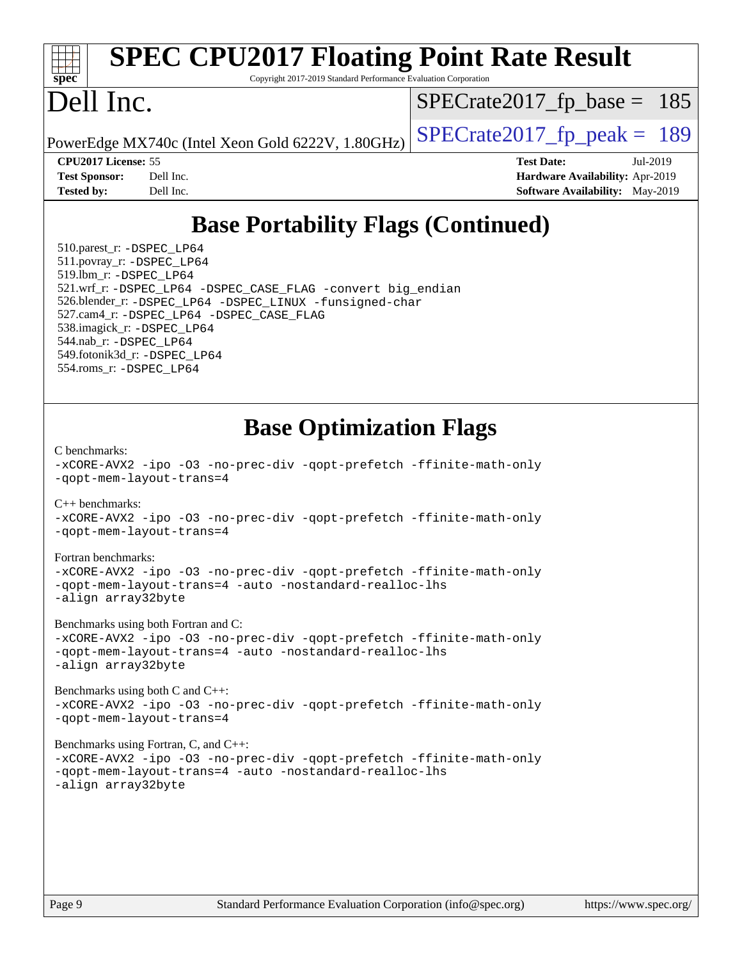#### **[spec](http://www.spec.org/) [SPEC CPU2017 Floating Point Rate Result](http://www.spec.org/auto/cpu2017/Docs/result-fields.html#SPECCPU2017FloatingPointRateResult)** Copyright 2017-2019 Standard Performance Evaluation Corporation Dell Inc. PowerEdge MX740c (Intel Xeon Gold 6222V, 1.80GHz)  $\left|$  [SPECrate2017\\_fp\\_peak =](http://www.spec.org/auto/cpu2017/Docs/result-fields.html#SPECrate2017fppeak) 189  $SPECTate2017_fp\_base = 185$ **[CPU2017 License:](http://www.spec.org/auto/cpu2017/Docs/result-fields.html#CPU2017License)** 55 **[Test Date:](http://www.spec.org/auto/cpu2017/Docs/result-fields.html#TestDate)** Jul-2019 **[Test Sponsor:](http://www.spec.org/auto/cpu2017/Docs/result-fields.html#TestSponsor)** Dell Inc. **[Hardware Availability:](http://www.spec.org/auto/cpu2017/Docs/result-fields.html#HardwareAvailability)** Apr-2019 **[Tested by:](http://www.spec.org/auto/cpu2017/Docs/result-fields.html#Testedby)** Dell Inc. Dell Inc. **[Software Availability:](http://www.spec.org/auto/cpu2017/Docs/result-fields.html#SoftwareAvailability)** May-2019 **[Base Portability Flags \(Continued\)](http://www.spec.org/auto/cpu2017/Docs/result-fields.html#BasePortabilityFlags)** 510.parest\_r: [-DSPEC\\_LP64](http://www.spec.org/cpu2017/results/res2019q3/cpu2017-20190805-16548.flags.html#suite_basePORTABILITY510_parest_r_DSPEC_LP64) 511.povray\_r: [-DSPEC\\_LP64](http://www.spec.org/cpu2017/results/res2019q3/cpu2017-20190805-16548.flags.html#suite_basePORTABILITY511_povray_r_DSPEC_LP64) 519.lbm\_r: [-DSPEC\\_LP64](http://www.spec.org/cpu2017/results/res2019q3/cpu2017-20190805-16548.flags.html#suite_basePORTABILITY519_lbm_r_DSPEC_LP64) 521.wrf\_r: [-DSPEC\\_LP64](http://www.spec.org/cpu2017/results/res2019q3/cpu2017-20190805-16548.flags.html#suite_basePORTABILITY521_wrf_r_DSPEC_LP64) [-DSPEC\\_CASE\\_FLAG](http://www.spec.org/cpu2017/results/res2019q3/cpu2017-20190805-16548.flags.html#b521.wrf_r_baseCPORTABILITY_DSPEC_CASE_FLAG) [-convert big\\_endian](http://www.spec.org/cpu2017/results/res2019q3/cpu2017-20190805-16548.flags.html#user_baseFPORTABILITY521_wrf_r_convert_big_endian_c3194028bc08c63ac5d04de18c48ce6d347e4e562e8892b8bdbdc0214820426deb8554edfa529a3fb25a586e65a3d812c835984020483e7e73212c4d31a38223) 526.blender\_r: [-DSPEC\\_LP64](http://www.spec.org/cpu2017/results/res2019q3/cpu2017-20190805-16548.flags.html#suite_basePORTABILITY526_blender_r_DSPEC_LP64) [-DSPEC\\_LINUX](http://www.spec.org/cpu2017/results/res2019q3/cpu2017-20190805-16548.flags.html#b526.blender_r_baseCPORTABILITY_DSPEC_LINUX) [-funsigned-char](http://www.spec.org/cpu2017/results/res2019q3/cpu2017-20190805-16548.flags.html#user_baseCPORTABILITY526_blender_r_force_uchar_40c60f00ab013830e2dd6774aeded3ff59883ba5a1fc5fc14077f794d777847726e2a5858cbc7672e36e1b067e7e5c1d9a74f7176df07886a243d7cc18edfe67) 527.cam4\_r: [-DSPEC\\_LP64](http://www.spec.org/cpu2017/results/res2019q3/cpu2017-20190805-16548.flags.html#suite_basePORTABILITY527_cam4_r_DSPEC_LP64) [-DSPEC\\_CASE\\_FLAG](http://www.spec.org/cpu2017/results/res2019q3/cpu2017-20190805-16548.flags.html#b527.cam4_r_baseCPORTABILITY_DSPEC_CASE_FLAG) 538.imagick\_r: [-DSPEC\\_LP64](http://www.spec.org/cpu2017/results/res2019q3/cpu2017-20190805-16548.flags.html#suite_basePORTABILITY538_imagick_r_DSPEC_LP64) 544.nab\_r: [-DSPEC\\_LP64](http://www.spec.org/cpu2017/results/res2019q3/cpu2017-20190805-16548.flags.html#suite_basePORTABILITY544_nab_r_DSPEC_LP64) 549.fotonik3d\_r: [-DSPEC\\_LP64](http://www.spec.org/cpu2017/results/res2019q3/cpu2017-20190805-16548.flags.html#suite_basePORTABILITY549_fotonik3d_r_DSPEC_LP64) 554.roms\_r: [-DSPEC\\_LP64](http://www.spec.org/cpu2017/results/res2019q3/cpu2017-20190805-16548.flags.html#suite_basePORTABILITY554_roms_r_DSPEC_LP64)

## **[Base Optimization Flags](http://www.spec.org/auto/cpu2017/Docs/result-fields.html#BaseOptimizationFlags)**

[C benchmarks](http://www.spec.org/auto/cpu2017/Docs/result-fields.html#Cbenchmarks):

```
-xCORE-AVX2 -ipo -O3 -no-prec-div -qopt-prefetch -ffinite-math-only
-qopt-mem-layout-trans=4
C++ benchmarks: 
-xCORE-AVX2 -ipo -O3 -no-prec-div -qopt-prefetch -ffinite-math-only
-qopt-mem-layout-trans=4
Fortran benchmarks: 
-xCORE-AVX2 -ipo -O3 -no-prec-div -qopt-prefetch -ffinite-math-only
-qopt-mem-layout-trans=4 -auto -nostandard-realloc-lhs
-align array32byte
Benchmarks using both Fortran and C: 
-xCORE-AVX2 -ipo -O3 -no-prec-div -qopt-prefetch -ffinite-math-only
-qopt-mem-layout-trans=4 -auto -nostandard-realloc-lhs
-align array32byte
Benchmarks using both C and C++: 
-xCORE-AVX2 -ipo -O3 -no-prec-div -qopt-prefetch -ffinite-math-only
-qopt-mem-layout-trans=4
Benchmarks using Fortran, C, and C++: 
-xCORE-AVX2 -ipo -O3 -no-prec-div -qopt-prefetch -ffinite-math-only
-qopt-mem-layout-trans=4 -auto -nostandard-realloc-lhs
-align array32byte
```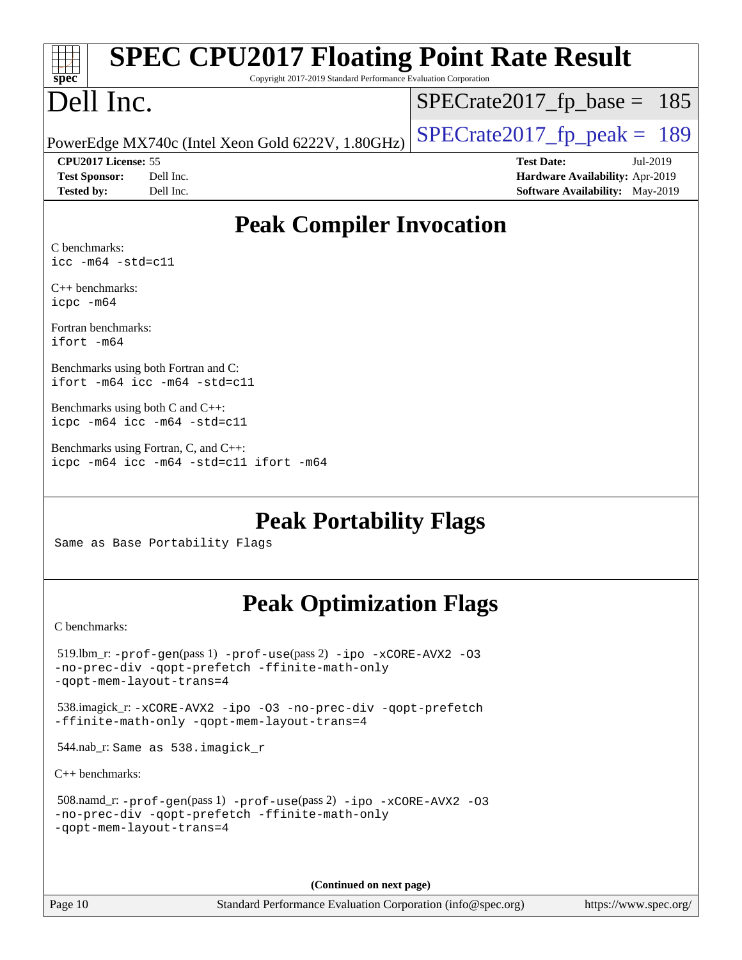| <b>SPEC CPU2017 Floating Point Rate Result</b><br>Copyright 2017-2019 Standard Performance Evaluation Corporation<br>$spec^*$                        |                                                                                                            |
|------------------------------------------------------------------------------------------------------------------------------------------------------|------------------------------------------------------------------------------------------------------------|
| Dell Inc.                                                                                                                                            | $SPECrate2017_fp\_base = 185$                                                                              |
| PowerEdge MX740c (Intel Xeon Gold 6222V, 1.80GHz)                                                                                                    | $SPECrate2017_fp\_peak = 189$                                                                              |
| CPU2017 License: 55<br><b>Test Sponsor:</b><br>Dell Inc.<br>Dell Inc.<br><b>Tested by:</b>                                                           | <b>Test Date:</b><br>Jul-2019<br>Hardware Availability: Apr-2019<br><b>Software Availability:</b> May-2019 |
| <b>Peak Compiler Invocation</b>                                                                                                                      |                                                                                                            |
| C benchmarks:<br>$\text{icc -m64 -std=cl1}$                                                                                                          |                                                                                                            |
| $C++$ benchmarks:<br>icpc -m64                                                                                                                       |                                                                                                            |
| Fortran benchmarks:<br>$ifort -m64$                                                                                                                  |                                                                                                            |
| Benchmarks using both Fortran and C:<br>ifort $-m64$ icc $-m64$ $-std= c11$                                                                          |                                                                                                            |
| Benchmarks using both C and C++:<br>icpc -m64 icc -m64 -std=c11                                                                                      |                                                                                                            |
| Benchmarks using Fortran, C, and C++:<br>icpc -m64 icc -m64 -std=c11 ifort -m64                                                                      |                                                                                                            |
| <b>Peak Portability Flags</b><br>Same as Base Portability Flags                                                                                      |                                                                                                            |
| <b>Peak Optimization Flags</b>                                                                                                                       |                                                                                                            |
| C benchmarks:                                                                                                                                        |                                                                                                            |
| $519$ .lbm_r: -prof-qen(pass 1) -prof-use(pass 2) -ipo -xCORE-AVX2 -03<br>-no-prec-div -qopt-prefetch -ffinite-math-only<br>-gopt-mem-layout-trans=4 |                                                                                                            |
| 538.imagick_r: -xCORE-AVX2 -ipo -03 -no-prec-div -qopt-prefetch<br>-ffinite-math-only -qopt-mem-layout-trans=4                                       |                                                                                                            |
| 544.nab_r: Same as 538.imagick_r                                                                                                                     |                                                                                                            |
| $C++$ benchmarks:                                                                                                                                    |                                                                                                            |
| 508.namd_r: -prof-gen(pass 1) -prof-use(pass 2) -ipo -xCORE-AVX2 -03<br>-no-prec-div -qopt-prefetch -ffinite-math-only<br>-qopt-mem-layout-trans=4   |                                                                                                            |

**(Continued on next page)**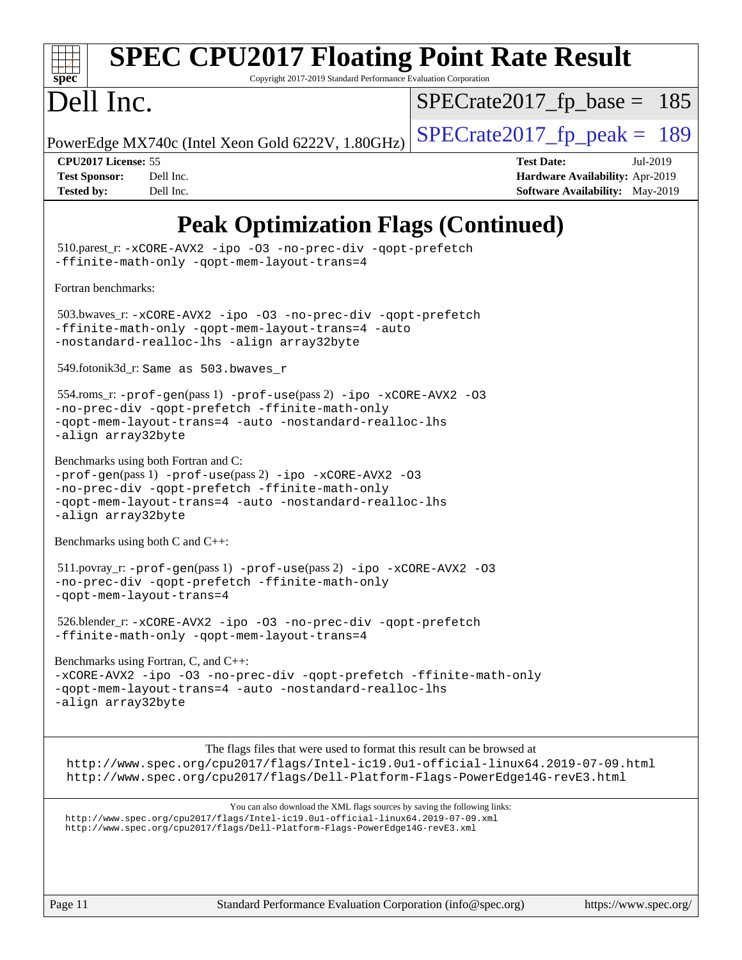|  | spec |  |  |
|--|------|--|--|

# **[SPEC CPU2017 Floating Point Rate Result](http://www.spec.org/auto/cpu2017/Docs/result-fields.html#SPECCPU2017FloatingPointRateResult)**

Copyright 2017-2019 Standard Performance Evaluation Corporation

# Dell Inc.

 $SPECTate2017_fp\_base = 185$ 

PowerEdge MX740c (Intel Xeon Gold 6222V, 1.80GHz)  $\left|$  [SPECrate2017\\_fp\\_peak =](http://www.spec.org/auto/cpu2017/Docs/result-fields.html#SPECrate2017fppeak) 189

**[CPU2017 License:](http://www.spec.org/auto/cpu2017/Docs/result-fields.html#CPU2017License)** 55 **[Test Date:](http://www.spec.org/auto/cpu2017/Docs/result-fields.html#TestDate)** Jul-2019 **[Test Sponsor:](http://www.spec.org/auto/cpu2017/Docs/result-fields.html#TestSponsor)** Dell Inc. **[Hardware Availability:](http://www.spec.org/auto/cpu2017/Docs/result-fields.html#HardwareAvailability)** Apr-2019 **[Tested by:](http://www.spec.org/auto/cpu2017/Docs/result-fields.html#Testedby)** Dell Inc. Dell Inc. **[Software Availability:](http://www.spec.org/auto/cpu2017/Docs/result-fields.html#SoftwareAvailability)** May-2019

# **[Peak Optimization Flags \(Continued\)](http://www.spec.org/auto/cpu2017/Docs/result-fields.html#PeakOptimizationFlags)**

 510.parest\_r: [-xCORE-AVX2](http://www.spec.org/cpu2017/results/res2019q3/cpu2017-20190805-16548.flags.html#user_peakCXXOPTIMIZE510_parest_r_f-xCORE-AVX2) [-ipo](http://www.spec.org/cpu2017/results/res2019q3/cpu2017-20190805-16548.flags.html#user_peakCXXOPTIMIZE510_parest_r_f-ipo) [-O3](http://www.spec.org/cpu2017/results/res2019q3/cpu2017-20190805-16548.flags.html#user_peakCXXOPTIMIZE510_parest_r_f-O3) [-no-prec-div](http://www.spec.org/cpu2017/results/res2019q3/cpu2017-20190805-16548.flags.html#user_peakCXXOPTIMIZE510_parest_r_f-no-prec-div) [-qopt-prefetch](http://www.spec.org/cpu2017/results/res2019q3/cpu2017-20190805-16548.flags.html#user_peakCXXOPTIMIZE510_parest_r_f-qopt-prefetch) [-ffinite-math-only](http://www.spec.org/cpu2017/results/res2019q3/cpu2017-20190805-16548.flags.html#user_peakCXXOPTIMIZE510_parest_r_f_finite_math_only_cb91587bd2077682c4b38af759c288ed7c732db004271a9512da14a4f8007909a5f1427ecbf1a0fb78ff2a814402c6114ac565ca162485bbcae155b5e4258871) [-qopt-mem-layout-trans=4](http://www.spec.org/cpu2017/results/res2019q3/cpu2017-20190805-16548.flags.html#user_peakCXXOPTIMIZE510_parest_r_f-qopt-mem-layout-trans_fa39e755916c150a61361b7846f310bcdf6f04e385ef281cadf3647acec3f0ae266d1a1d22d972a7087a248fd4e6ca390a3634700869573d231a252c784941a8) [Fortran benchmarks](http://www.spec.org/auto/cpu2017/Docs/result-fields.html#Fortranbenchmarks): 503.bwaves\_r: [-xCORE-AVX2](http://www.spec.org/cpu2017/results/res2019q3/cpu2017-20190805-16548.flags.html#user_peakFOPTIMIZE503_bwaves_r_f-xCORE-AVX2) [-ipo](http://www.spec.org/cpu2017/results/res2019q3/cpu2017-20190805-16548.flags.html#user_peakFOPTIMIZE503_bwaves_r_f-ipo) [-O3](http://www.spec.org/cpu2017/results/res2019q3/cpu2017-20190805-16548.flags.html#user_peakFOPTIMIZE503_bwaves_r_f-O3) [-no-prec-div](http://www.spec.org/cpu2017/results/res2019q3/cpu2017-20190805-16548.flags.html#user_peakFOPTIMIZE503_bwaves_r_f-no-prec-div) [-qopt-prefetch](http://www.spec.org/cpu2017/results/res2019q3/cpu2017-20190805-16548.flags.html#user_peakFOPTIMIZE503_bwaves_r_f-qopt-prefetch) [-ffinite-math-only](http://www.spec.org/cpu2017/results/res2019q3/cpu2017-20190805-16548.flags.html#user_peakFOPTIMIZE503_bwaves_r_f_finite_math_only_cb91587bd2077682c4b38af759c288ed7c732db004271a9512da14a4f8007909a5f1427ecbf1a0fb78ff2a814402c6114ac565ca162485bbcae155b5e4258871) [-qopt-mem-layout-trans=4](http://www.spec.org/cpu2017/results/res2019q3/cpu2017-20190805-16548.flags.html#user_peakFOPTIMIZE503_bwaves_r_f-qopt-mem-layout-trans_fa39e755916c150a61361b7846f310bcdf6f04e385ef281cadf3647acec3f0ae266d1a1d22d972a7087a248fd4e6ca390a3634700869573d231a252c784941a8) [-auto](http://www.spec.org/cpu2017/results/res2019q3/cpu2017-20190805-16548.flags.html#user_peakFOPTIMIZE503_bwaves_r_f-auto) [-nostandard-realloc-lhs](http://www.spec.org/cpu2017/results/res2019q3/cpu2017-20190805-16548.flags.html#user_peakEXTRA_FOPTIMIZE503_bwaves_r_f_2003_std_realloc_82b4557e90729c0f113870c07e44d33d6f5a304b4f63d4c15d2d0f1fab99f5daaed73bdb9275d9ae411527f28b936061aa8b9c8f2d63842963b95c9dd6426b8a) [-align array32byte](http://www.spec.org/cpu2017/results/res2019q3/cpu2017-20190805-16548.flags.html#user_peakEXTRA_FOPTIMIZE503_bwaves_r_align_array32byte_b982fe038af199962ba9a80c053b8342c548c85b40b8e86eb3cc33dee0d7986a4af373ac2d51c3f7cf710a18d62fdce2948f201cd044323541f22fc0fffc51b6) 549.fotonik3d\_r: Same as 503.bwaves\_r 554.roms\_r: [-prof-gen](http://www.spec.org/cpu2017/results/res2019q3/cpu2017-20190805-16548.flags.html#user_peakPASS1_FFLAGSPASS1_LDFLAGS554_roms_r_prof_gen_5aa4926d6013ddb2a31985c654b3eb18169fc0c6952a63635c234f711e6e63dd76e94ad52365559451ec499a2cdb89e4dc58ba4c67ef54ca681ffbe1461d6b36)(pass 1) [-prof-use](http://www.spec.org/cpu2017/results/res2019q3/cpu2017-20190805-16548.flags.html#user_peakPASS2_FFLAGSPASS2_LDFLAGS554_roms_r_prof_use_1a21ceae95f36a2b53c25747139a6c16ca95bd9def2a207b4f0849963b97e94f5260e30a0c64f4bb623698870e679ca08317ef8150905d41bd88c6f78df73f19)(pass 2) [-ipo](http://www.spec.org/cpu2017/results/res2019q3/cpu2017-20190805-16548.flags.html#user_peakPASS1_FOPTIMIZEPASS2_FOPTIMIZE554_roms_r_f-ipo) [-xCORE-AVX2](http://www.spec.org/cpu2017/results/res2019q3/cpu2017-20190805-16548.flags.html#user_peakPASS2_FOPTIMIZE554_roms_r_f-xCORE-AVX2) [-O3](http://www.spec.org/cpu2017/results/res2019q3/cpu2017-20190805-16548.flags.html#user_peakPASS1_FOPTIMIZEPASS2_FOPTIMIZE554_roms_r_f-O3) [-no-prec-div](http://www.spec.org/cpu2017/results/res2019q3/cpu2017-20190805-16548.flags.html#user_peakPASS1_FOPTIMIZEPASS2_FOPTIMIZE554_roms_r_f-no-prec-div) [-qopt-prefetch](http://www.spec.org/cpu2017/results/res2019q3/cpu2017-20190805-16548.flags.html#user_peakPASS1_FOPTIMIZEPASS2_FOPTIMIZE554_roms_r_f-qopt-prefetch) [-ffinite-math-only](http://www.spec.org/cpu2017/results/res2019q3/cpu2017-20190805-16548.flags.html#user_peakPASS1_FOPTIMIZEPASS2_FOPTIMIZE554_roms_r_f_finite_math_only_cb91587bd2077682c4b38af759c288ed7c732db004271a9512da14a4f8007909a5f1427ecbf1a0fb78ff2a814402c6114ac565ca162485bbcae155b5e4258871) [-qopt-mem-layout-trans=4](http://www.spec.org/cpu2017/results/res2019q3/cpu2017-20190805-16548.flags.html#user_peakPASS1_FOPTIMIZEPASS2_FOPTIMIZE554_roms_r_f-qopt-mem-layout-trans_fa39e755916c150a61361b7846f310bcdf6f04e385ef281cadf3647acec3f0ae266d1a1d22d972a7087a248fd4e6ca390a3634700869573d231a252c784941a8) [-auto](http://www.spec.org/cpu2017/results/res2019q3/cpu2017-20190805-16548.flags.html#user_peakPASS2_FOPTIMIZE554_roms_r_f-auto) [-nostandard-realloc-lhs](http://www.spec.org/cpu2017/results/res2019q3/cpu2017-20190805-16548.flags.html#user_peakEXTRA_FOPTIMIZE554_roms_r_f_2003_std_realloc_82b4557e90729c0f113870c07e44d33d6f5a304b4f63d4c15d2d0f1fab99f5daaed73bdb9275d9ae411527f28b936061aa8b9c8f2d63842963b95c9dd6426b8a) [-align array32byte](http://www.spec.org/cpu2017/results/res2019q3/cpu2017-20190805-16548.flags.html#user_peakEXTRA_FOPTIMIZE554_roms_r_align_array32byte_b982fe038af199962ba9a80c053b8342c548c85b40b8e86eb3cc33dee0d7986a4af373ac2d51c3f7cf710a18d62fdce2948f201cd044323541f22fc0fffc51b6) [Benchmarks using both Fortran and C](http://www.spec.org/auto/cpu2017/Docs/result-fields.html#BenchmarksusingbothFortranandC): [-prof-gen](http://www.spec.org/cpu2017/results/res2019q3/cpu2017-20190805-16548.flags.html#user_CC_FCpeak_prof_gen_5aa4926d6013ddb2a31985c654b3eb18169fc0c6952a63635c234f711e6e63dd76e94ad52365559451ec499a2cdb89e4dc58ba4c67ef54ca681ffbe1461d6b36)(pass 1) [-prof-use](http://www.spec.org/cpu2017/results/res2019q3/cpu2017-20190805-16548.flags.html#user_CC_FCpeak_prof_use_1a21ceae95f36a2b53c25747139a6c16ca95bd9def2a207b4f0849963b97e94f5260e30a0c64f4bb623698870e679ca08317ef8150905d41bd88c6f78df73f19)(pass 2) [-ipo](http://www.spec.org/cpu2017/results/res2019q3/cpu2017-20190805-16548.flags.html#user_CC_FCpeak_f-ipo) [-xCORE-AVX2](http://www.spec.org/cpu2017/results/res2019q3/cpu2017-20190805-16548.flags.html#user_CC_FCpeak_f-xCORE-AVX2) [-O3](http://www.spec.org/cpu2017/results/res2019q3/cpu2017-20190805-16548.flags.html#user_CC_FCpeak_f-O3) [-no-prec-div](http://www.spec.org/cpu2017/results/res2019q3/cpu2017-20190805-16548.flags.html#user_CC_FCpeak_f-no-prec-div) [-qopt-prefetch](http://www.spec.org/cpu2017/results/res2019q3/cpu2017-20190805-16548.flags.html#user_CC_FCpeak_f-qopt-prefetch) [-ffinite-math-only](http://www.spec.org/cpu2017/results/res2019q3/cpu2017-20190805-16548.flags.html#user_CC_FCpeak_f_finite_math_only_cb91587bd2077682c4b38af759c288ed7c732db004271a9512da14a4f8007909a5f1427ecbf1a0fb78ff2a814402c6114ac565ca162485bbcae155b5e4258871) [-qopt-mem-layout-trans=4](http://www.spec.org/cpu2017/results/res2019q3/cpu2017-20190805-16548.flags.html#user_CC_FCpeak_f-qopt-mem-layout-trans_fa39e755916c150a61361b7846f310bcdf6f04e385ef281cadf3647acec3f0ae266d1a1d22d972a7087a248fd4e6ca390a3634700869573d231a252c784941a8) [-auto](http://www.spec.org/cpu2017/results/res2019q3/cpu2017-20190805-16548.flags.html#user_CC_FCpeak_f-auto) [-nostandard-realloc-lhs](http://www.spec.org/cpu2017/results/res2019q3/cpu2017-20190805-16548.flags.html#user_CC_FCpeak_f_2003_std_realloc_82b4557e90729c0f113870c07e44d33d6f5a304b4f63d4c15d2d0f1fab99f5daaed73bdb9275d9ae411527f28b936061aa8b9c8f2d63842963b95c9dd6426b8a) [-align array32byte](http://www.spec.org/cpu2017/results/res2019q3/cpu2017-20190805-16548.flags.html#user_CC_FCpeak_align_array32byte_b982fe038af199962ba9a80c053b8342c548c85b40b8e86eb3cc33dee0d7986a4af373ac2d51c3f7cf710a18d62fdce2948f201cd044323541f22fc0fffc51b6) [Benchmarks using both C and C++](http://www.spec.org/auto/cpu2017/Docs/result-fields.html#BenchmarksusingbothCandCXX): 511.povray\_r: [-prof-gen](http://www.spec.org/cpu2017/results/res2019q3/cpu2017-20190805-16548.flags.html#user_peakPASS1_CFLAGSPASS1_CXXFLAGSPASS1_LDFLAGS511_povray_r_prof_gen_5aa4926d6013ddb2a31985c654b3eb18169fc0c6952a63635c234f711e6e63dd76e94ad52365559451ec499a2cdb89e4dc58ba4c67ef54ca681ffbe1461d6b36)(pass 1) [-prof-use](http://www.spec.org/cpu2017/results/res2019q3/cpu2017-20190805-16548.flags.html#user_peakPASS2_CFLAGSPASS2_CXXFLAGSPASS2_LDFLAGS511_povray_r_prof_use_1a21ceae95f36a2b53c25747139a6c16ca95bd9def2a207b4f0849963b97e94f5260e30a0c64f4bb623698870e679ca08317ef8150905d41bd88c6f78df73f19)(pass 2) [-ipo](http://www.spec.org/cpu2017/results/res2019q3/cpu2017-20190805-16548.flags.html#user_peakPASS1_COPTIMIZEPASS1_CXXOPTIMIZEPASS2_COPTIMIZEPASS2_CXXOPTIMIZE511_povray_r_f-ipo) [-xCORE-AVX2](http://www.spec.org/cpu2017/results/res2019q3/cpu2017-20190805-16548.flags.html#user_peakPASS2_COPTIMIZEPASS2_CXXOPTIMIZE511_povray_r_f-xCORE-AVX2) [-O3](http://www.spec.org/cpu2017/results/res2019q3/cpu2017-20190805-16548.flags.html#user_peakPASS1_COPTIMIZEPASS1_CXXOPTIMIZEPASS2_COPTIMIZEPASS2_CXXOPTIMIZE511_povray_r_f-O3) [-no-prec-div](http://www.spec.org/cpu2017/results/res2019q3/cpu2017-20190805-16548.flags.html#user_peakPASS1_COPTIMIZEPASS1_CXXOPTIMIZEPASS2_COPTIMIZEPASS2_CXXOPTIMIZE511_povray_r_f-no-prec-div) [-qopt-prefetch](http://www.spec.org/cpu2017/results/res2019q3/cpu2017-20190805-16548.flags.html#user_peakPASS1_COPTIMIZEPASS1_CXXOPTIMIZEPASS2_COPTIMIZEPASS2_CXXOPTIMIZE511_povray_r_f-qopt-prefetch) [-ffinite-math-only](http://www.spec.org/cpu2017/results/res2019q3/cpu2017-20190805-16548.flags.html#user_peakPASS1_COPTIMIZEPASS1_CXXOPTIMIZEPASS2_COPTIMIZEPASS2_CXXOPTIMIZE511_povray_r_f_finite_math_only_cb91587bd2077682c4b38af759c288ed7c732db004271a9512da14a4f8007909a5f1427ecbf1a0fb78ff2a814402c6114ac565ca162485bbcae155b5e4258871) [-qopt-mem-layout-trans=4](http://www.spec.org/cpu2017/results/res2019q3/cpu2017-20190805-16548.flags.html#user_peakPASS1_COPTIMIZEPASS1_CXXOPTIMIZEPASS2_COPTIMIZEPASS2_CXXOPTIMIZE511_povray_r_f-qopt-mem-layout-trans_fa39e755916c150a61361b7846f310bcdf6f04e385ef281cadf3647acec3f0ae266d1a1d22d972a7087a248fd4e6ca390a3634700869573d231a252c784941a8) 526.blender\_r: [-xCORE-AVX2](http://www.spec.org/cpu2017/results/res2019q3/cpu2017-20190805-16548.flags.html#user_peakCOPTIMIZECXXOPTIMIZE526_blender_r_f-xCORE-AVX2) [-ipo](http://www.spec.org/cpu2017/results/res2019q3/cpu2017-20190805-16548.flags.html#user_peakCOPTIMIZECXXOPTIMIZE526_blender_r_f-ipo) [-O3](http://www.spec.org/cpu2017/results/res2019q3/cpu2017-20190805-16548.flags.html#user_peakCOPTIMIZECXXOPTIMIZE526_blender_r_f-O3) [-no-prec-div](http://www.spec.org/cpu2017/results/res2019q3/cpu2017-20190805-16548.flags.html#user_peakCOPTIMIZECXXOPTIMIZE526_blender_r_f-no-prec-div) [-qopt-prefetch](http://www.spec.org/cpu2017/results/res2019q3/cpu2017-20190805-16548.flags.html#user_peakCOPTIMIZECXXOPTIMIZE526_blender_r_f-qopt-prefetch) [-ffinite-math-only](http://www.spec.org/cpu2017/results/res2019q3/cpu2017-20190805-16548.flags.html#user_peakCOPTIMIZECXXOPTIMIZE526_blender_r_f_finite_math_only_cb91587bd2077682c4b38af759c288ed7c732db004271a9512da14a4f8007909a5f1427ecbf1a0fb78ff2a814402c6114ac565ca162485bbcae155b5e4258871) [-qopt-mem-layout-trans=4](http://www.spec.org/cpu2017/results/res2019q3/cpu2017-20190805-16548.flags.html#user_peakCOPTIMIZECXXOPTIMIZE526_blender_r_f-qopt-mem-layout-trans_fa39e755916c150a61361b7846f310bcdf6f04e385ef281cadf3647acec3f0ae266d1a1d22d972a7087a248fd4e6ca390a3634700869573d231a252c784941a8) [Benchmarks using Fortran, C, and C++:](http://www.spec.org/auto/cpu2017/Docs/result-fields.html#BenchmarksusingFortranCandCXX) [-xCORE-AVX2](http://www.spec.org/cpu2017/results/res2019q3/cpu2017-20190805-16548.flags.html#user_CC_CXX_FCpeak_f-xCORE-AVX2) [-ipo](http://www.spec.org/cpu2017/results/res2019q3/cpu2017-20190805-16548.flags.html#user_CC_CXX_FCpeak_f-ipo) [-O3](http://www.spec.org/cpu2017/results/res2019q3/cpu2017-20190805-16548.flags.html#user_CC_CXX_FCpeak_f-O3) [-no-prec-div](http://www.spec.org/cpu2017/results/res2019q3/cpu2017-20190805-16548.flags.html#user_CC_CXX_FCpeak_f-no-prec-div) [-qopt-prefetch](http://www.spec.org/cpu2017/results/res2019q3/cpu2017-20190805-16548.flags.html#user_CC_CXX_FCpeak_f-qopt-prefetch) [-ffinite-math-only](http://www.spec.org/cpu2017/results/res2019q3/cpu2017-20190805-16548.flags.html#user_CC_CXX_FCpeak_f_finite_math_only_cb91587bd2077682c4b38af759c288ed7c732db004271a9512da14a4f8007909a5f1427ecbf1a0fb78ff2a814402c6114ac565ca162485bbcae155b5e4258871) [-qopt-mem-layout-trans=4](http://www.spec.org/cpu2017/results/res2019q3/cpu2017-20190805-16548.flags.html#user_CC_CXX_FCpeak_f-qopt-mem-layout-trans_fa39e755916c150a61361b7846f310bcdf6f04e385ef281cadf3647acec3f0ae266d1a1d22d972a7087a248fd4e6ca390a3634700869573d231a252c784941a8) [-auto](http://www.spec.org/cpu2017/results/res2019q3/cpu2017-20190805-16548.flags.html#user_CC_CXX_FCpeak_f-auto) [-nostandard-realloc-lhs](http://www.spec.org/cpu2017/results/res2019q3/cpu2017-20190805-16548.flags.html#user_CC_CXX_FCpeak_f_2003_std_realloc_82b4557e90729c0f113870c07e44d33d6f5a304b4f63d4c15d2d0f1fab99f5daaed73bdb9275d9ae411527f28b936061aa8b9c8f2d63842963b95c9dd6426b8a) [-align array32byte](http://www.spec.org/cpu2017/results/res2019q3/cpu2017-20190805-16548.flags.html#user_CC_CXX_FCpeak_align_array32byte_b982fe038af199962ba9a80c053b8342c548c85b40b8e86eb3cc33dee0d7986a4af373ac2d51c3f7cf710a18d62fdce2948f201cd044323541f22fc0fffc51b6) The flags files that were used to format this result can be browsed at <http://www.spec.org/cpu2017/flags/Intel-ic19.0u1-official-linux64.2019-07-09.html> <http://www.spec.org/cpu2017/flags/Dell-Platform-Flags-PowerEdge14G-revE3.html> You can also download the XML flags sources by saving the following links: <http://www.spec.org/cpu2017/flags/Intel-ic19.0u1-official-linux64.2019-07-09.xml> <http://www.spec.org/cpu2017/flags/Dell-Platform-Flags-PowerEdge14G-revE3.xml>